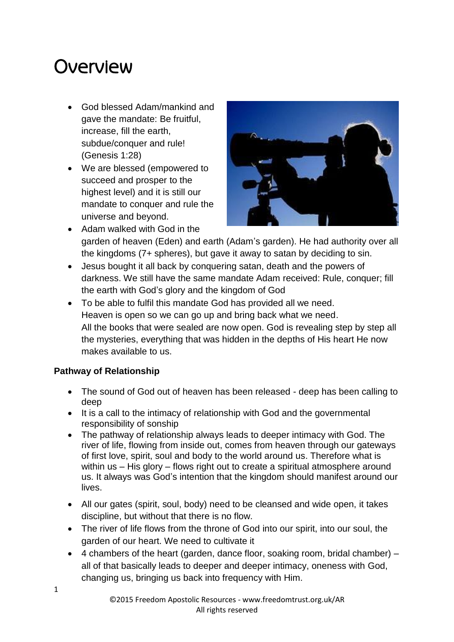# Overview

- God blessed Adam/mankind and gave the mandate: Be fruitful, increase, fill the earth, subdue/conquer and rule! (Genesis 1:28)
- We are blessed (empowered to succeed and prosper to the highest level) and it is still our mandate to conquer and rule the universe and beyond.



- Adam walked with God in the garden of heaven (Eden) and earth (Adam's garden). He had authority over all the kingdoms (7+ spheres), but gave it away to satan by deciding to sin.
- Jesus bought it all back by conquering satan, death and the powers of darkness. We still have the same mandate Adam received: Rule, conquer; fill the earth with God's glory and the kingdom of God
- To be able to fulfil this mandate God has provided all we need. Heaven is open so we can go up and bring back what we need. All the books that were sealed are now open. God is revealing step by step all the mysteries, everything that was hidden in the depths of His heart He now makes available to us.

## **Pathway of Relationship**

- The sound of God out of heaven has been released deep has been calling to deep
- It is a call to the intimacy of relationship with God and the governmental responsibility of sonship
- The pathway of relationship always leads to deeper intimacy with God. The river of life, flowing from inside out, comes from heaven through our gateways of first love, spirit, soul and body to the world around us. Therefore what is within us – His glory – flows right out to create a spiritual atmosphere around us. It always was God's intention that the kingdom should manifest around our lives.
- All our gates (spirit, soul, body) need to be cleansed and wide open, it takes discipline, but without that there is no flow.
- The river of life flows from the throne of God into our spirit, into our soul, the garden of our heart. We need to cultivate it
- 4 chambers of the heart (garden, dance floor, soaking room, bridal chamber) all of that basically leads to deeper and deeper intimacy, oneness with God, changing us, bringing us back into frequency with Him.

1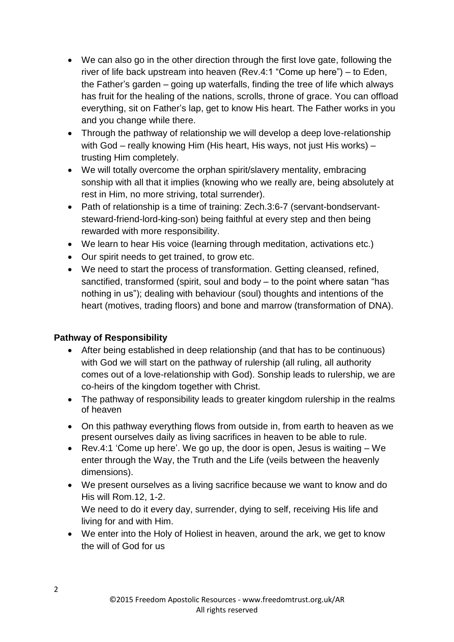- We can also go in the other direction through the first love gate, following the river of life back upstream into heaven (Rev.4:1 "Come up here") – to Eden, the Father's garden – going up waterfalls, finding the tree of life which always has fruit for the healing of the nations, scrolls, throne of grace. You can offload everything, sit on Father's lap, get to know His heart. The Father works in you and you change while there.
- Through the pathway of relationship we will develop a deep love-relationship with God – really knowing Him (His heart, His ways, not just His works) – trusting Him completely.
- We will totally overcome the orphan spirit/slavery mentality, embracing sonship with all that it implies (knowing who we really are, being absolutely at rest in Him, no more striving, total surrender).
- Path of relationship is a time of training: Zech.3:6-7 (servant-bondservantsteward-friend-lord-king-son) being faithful at every step and then being rewarded with more responsibility.
- We learn to hear His voice (learning through meditation, activations etc.)
- Our spirit needs to get trained, to grow etc.
- We need to start the process of transformation. Getting cleansed, refined, sanctified, transformed (spirit, soul and body – to the point where satan "has nothing in us"); dealing with behaviour (soul) thoughts and intentions of the heart (motives, trading floors) and bone and marrow (transformation of DNA).

### **Pathway of Responsibility**

- After being established in deep relationship (and that has to be continuous) with God we will start on the pathway of rulership (all ruling, all authority comes out of a love-relationship with God). Sonship leads to rulership, we are co-heirs of the kingdom together with Christ.
- The pathway of responsibility leads to greater kingdom rulership in the realms of heaven
- On this pathway everything flows from outside in, from earth to heaven as we present ourselves daily as living sacrifices in heaven to be able to rule.
- Rev.4:1 'Come up here'. We go up, the door is open, Jesus is waiting  $-$  We enter through the Way, the Truth and the Life (veils between the heavenly dimensions).
- We present ourselves as a living sacrifice because we want to know and do His will Rom.12, 1-2. We need to do it every day, surrender, dying to self, receiving His life and living for and with Him.
- We enter into the Holy of Holiest in heaven, around the ark, we get to know the will of God for us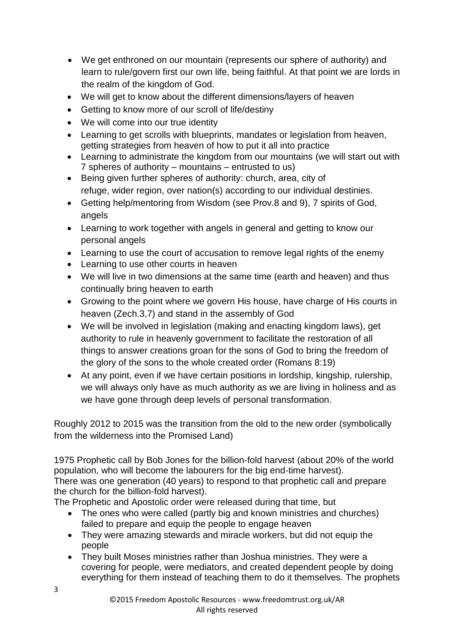- We get enthroned on our mountain (represents our sphere of authority) and learn to rule/govern first our own life, being faithful. At that point we are lords in the realm of the kingdom of God.
- We will get to know about the different dimensions/layers of heaven
- Getting to know more of our scroll of life/destiny
- We will come into our true identity
- Learning to get scrolls with blueprints, mandates or legislation from heaven, getting strategies from heaven of how to put it all into practice
- Learning to administrate the kingdom from our mountains (we will start out with 7 spheres of authority – mountains – entrusted to us)
- Being given further spheres of authority: church, area, city of refuge, wider region, over nation(s) according to our individual destinies.
- Getting help/mentoring from Wisdom (see Prov.8 and 9), 7 spirits of God, angels
- Learning to work together with angels in general and getting to know our personal angels
- Learning to use the court of accusation to remove legal rights of the enemy
- Learning to use other courts in heaven
- We will live in two dimensions at the same time (earth and heaven) and thus continually bring heaven to earth
- Growing to the point where we govern His house, have charge of His courts in heaven (Zech.3,7) and stand in the assembly of God
- We will be involved in legislation (making and enacting kingdom laws), get authority to rule in heavenly government to facilitate the restoration of all things to answer creations groan for the sons of God to bring the freedom of the glory of the sons to the whole created order (Romans 8:19)
- At any point, even if we have certain positions in lordship, kingship, rulership, we will always only have as much authority as we are living in holiness and as we have gone through deep levels of personal transformation.

Roughly 2012 to 2015 was the transition from the old to the new order (symbolically from the wilderness into the Promised Land)

1975 Prophetic call by Bob Jones for the billion-fold harvest (about 20% of the world population, who will become the labourers for the big end-time harvest). There was one generation (40 years) to respond to that prophetic call and prepare the church for the billion-fold harvest).

The Prophetic and Apostolic order were released during that time, but

- The ones who were called (partly big and known ministries and churches) failed to prepare and equip the people to engage heaven
- They were amazing stewards and miracle workers, but did not equip the people
- They built Moses ministries rather than Joshua ministries. They were a covering for people, were mediators, and created dependent people by doing everything for them instead of teaching them to do it themselves. The prophets

3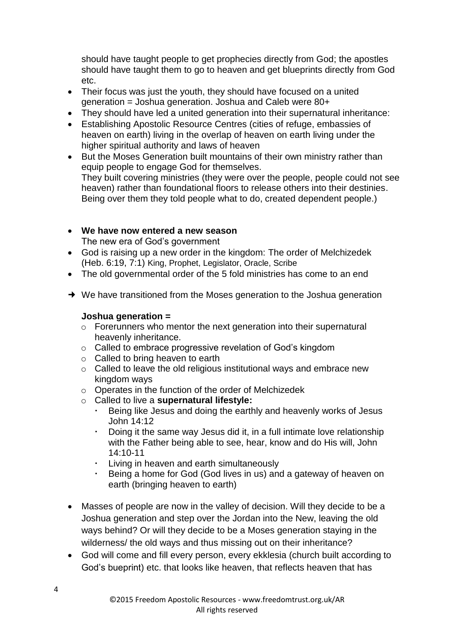should have taught people to get prophecies directly from God; the apostles should have taught them to go to heaven and get blueprints directly from God etc.

- Their focus was just the youth, they should have focused on a united generation = Joshua generation. Joshua and Caleb were 80+
- They should have led a united generation into their supernatural inheritance:
- Establishing Apostolic Resource Centres (cities of refuge, embassies of heaven on earth) living in the overlap of heaven on earth living under the higher spiritual authority and laws of heaven
- But the Moses Generation built mountains of their own ministry rather than equip people to engage God for themselves. They built covering ministries (they were over the people, people could not see heaven) rather than foundational floors to release others into their destinies. Being over them they told people what to do, created dependent people.)

#### **We have now entered a new season** The new era of God's government

- God is raising up a new order in the kingdom: The order of Melchizedek (Heb. 6:19, 7:1) King, Prophet, Legislator, Oracle, Scribe
- The old governmental order of the 5 fold ministries has come to an end
- $\rightarrow$  We have transitioned from the Moses generation to the Joshua generation

#### **Joshua generation =**

- o Forerunners who mentor the next generation into their supernatural heavenly inheritance.
- o Called to embrace progressive revelation of God's kingdom
- $\circ$  Called to bring heaven to earth
- o Called to leave the old religious institutional ways and embrace new kingdom ways
- o Operates in the function of the order of Melchizedek
- o Called to live a **supernatural lifestyle:**
	- Being like Jesus and doing the earthly and heavenly works of Jesus John 14:12
	- Doing it the same way Jesus did it, in a full intimate love relationship with the Father being able to see, hear, know and do His will, John 14:10-11
	- Living in heaven and earth simultaneously
	- Being a home for God (God lives in us) and a gateway of heaven on earth (bringing heaven to earth)
- Masses of people are now in the valley of decision. Will they decide to be a Joshua generation and step over the Jordan into the New, leaving the old ways behind? Or will they decide to be a Moses generation staying in the wilderness/ the old ways and thus missing out on their inheritance?
- God will come and fill every person, every ekklesia (church built according to God's bueprint) etc. that looks like heaven, that reflects heaven that has